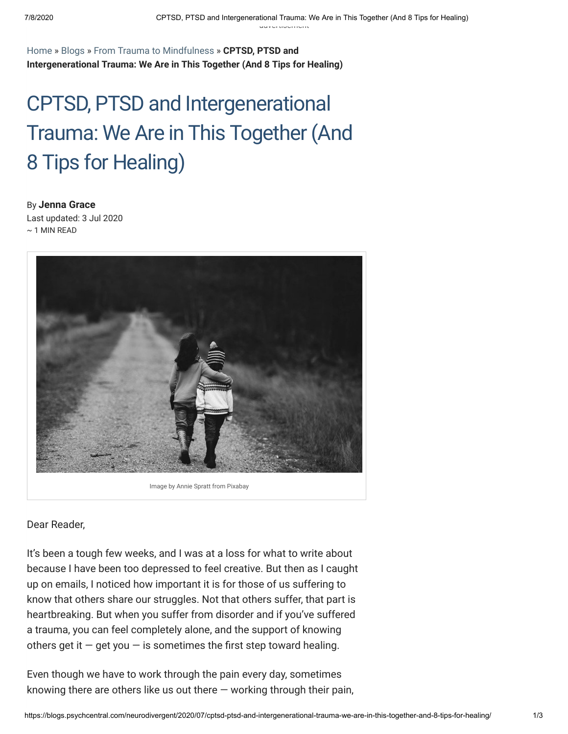[Home](https://psychcentral.com/) » [Blogs](https://blogs.psychcentral.com/) » [From Trauma to Mindfulness](https://blogs.psychcentral.com/neurodivergent) » **CPTSD, PTSD and Intergenerational Trauma: We Are in This Together (And 8 Tips for Healing)**

## CPTSD, PTSD and Intergenerational Trauma: We Are in This Together (And 8 Tips for Healing)

By **[Jenna](https://blogs.psychcentral.com/neurodivergent/author/jenna/) Grace** Last updated: 3 Jul 2020  $\sim$  1 MIN READ



Image by Annie Spratt from Pixabay

Dear Reader,

It's been a tough few weeks, and I was at a loss for what to write about because I have been too depressed to feel creative. But then as I caught up on emails, I noticed how important it is for those of us suffering to know that others share our struggles. Not that others suffer, that part is heartbreaking. But when you suffer from disorder and if you've suffered a trauma, you can feel completely alone, and the support of knowing others get it  $-$  get you  $-$  is sometimes the first step toward healing.

Even though we have to work through the pain every day, sometimes knowing there are others like us out there  $-$  working through their pain,